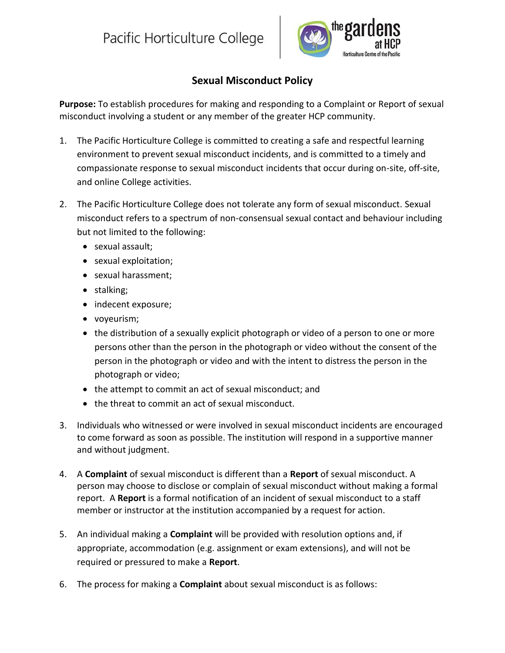

## **Sexual Misconduct Policy**

**Purpose:** To establish procedures for making and responding to a Complaint or Report of sexual misconduct involving a student or any member of the greater HCP community.

- 1. The Pacific Horticulture College is committed to creating a safe and respectful learning environment to prevent sexual misconduct incidents, and is committed to a timely and compassionate response to sexual misconduct incidents that occur during on-site, off-site, and online College activities.
- 2. The Pacific Horticulture College does not tolerate any form of sexual misconduct. Sexual misconduct refers to a spectrum of non-consensual sexual contact and behaviour including but not limited to the following:
	- sexual assault:
	- sexual exploitation;
	- sexual harassment;
	- stalking;
	- indecent exposure;
	- voyeurism;
	- the distribution of a sexually explicit photograph or video of a person to one or more persons other than the person in the photograph or video without the consent of the person in the photograph or video and with the intent to distress the person in the photograph or video;
	- the attempt to commit an act of sexual misconduct; and
	- the threat to commit an act of sexual misconduct.
- 3. Individuals who witnessed or were involved in sexual misconduct incidents are encouraged to come forward as soon as possible. The institution will respond in a supportive manner and without judgment.
- 4. A **Complaint** of sexual misconduct is different than a **Report** of sexual misconduct. A person may choose to disclose or complain of sexual misconduct without making a formal report. A **Report** is a formal notification of an incident of sexual misconduct to a staff member or instructor at the institution accompanied by a request for action.
- 5. An individual making a **Complaint** will be provided with resolution options and, if appropriate, accommodation (e.g. assignment or exam extensions), and will not be required or pressured to make a **Report**.
- 6. The process for making a **Complaint** about sexual misconduct is as follows: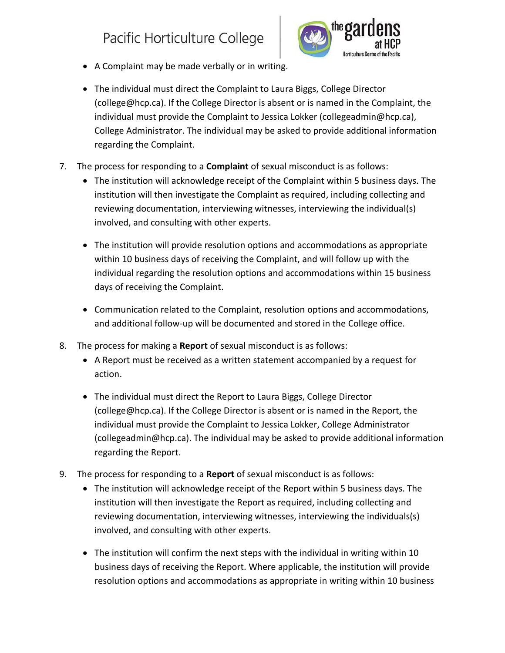## Pacific Horticulture College



- A Complaint may be made verbally or in writing.
- The individual must direct the Complaint to Laura Biggs, College Director (college@hcp.ca). If the College Director is absent or is named in the Complaint, the individual must provide the Complaint to Jessica Lokker (collegeadmin@hcp.ca), College Administrator. The individual may be asked to provide additional information regarding the Complaint.
- 7. The process for responding to a **Complaint** of sexual misconduct is as follows:
	- The institution will acknowledge receipt of the Complaint within 5 business days. The institution will then investigate the Complaint as required, including collecting and reviewing documentation, interviewing witnesses, interviewing the individual(s) involved, and consulting with other experts.
	- The institution will provide resolution options and accommodations as appropriate within 10 business days of receiving the Complaint, and will follow up with the individual regarding the resolution options and accommodations within 15 business days of receiving the Complaint.
	- Communication related to the Complaint, resolution options and accommodations, and additional follow-up will be documented and stored in the College office.
- 8. The process for making a **Report** of sexual misconduct is as follows:
	- A Report must be received as a written statement accompanied by a request for action.
	- The individual must direct the Report to Laura Biggs, College Director (college@hcp.ca). If the College Director is absent or is named in the Report, the individual must provide the Complaint to Jessica Lokker, College Administrator (collegeadmin@hcp.ca). The individual may be asked to provide additional information regarding the Report.
- 9. The process for responding to a **Report** of sexual misconduct is as follows:
	- The institution will acknowledge receipt of the Report within 5 business days. The institution will then investigate the Report as required, including collecting and reviewing documentation, interviewing witnesses, interviewing the individuals(s) involved, and consulting with other experts.
	- The institution will confirm the next steps with the individual in writing within 10 business days of receiving the Report. Where applicable, the institution will provide resolution options and accommodations as appropriate in writing within 10 business